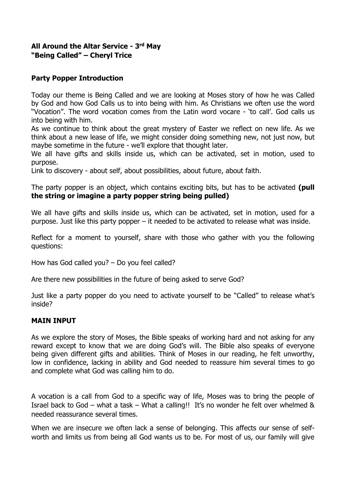## **All Around the Altar Service - 3 rd May "Being Called" – Cheryl Trice**

## **Party Popper Introduction**

Today our theme is Being Called and we are looking at Moses story of how he was Called by God and how God Calls us to into being with him. As Christians we often use the word "Vocation". The word vocation comes from the Latin word vocare - 'to call'. God calls us into being with him.

As we continue to think about the great mystery of Easter we reflect on new life. As we think about a new lease of life, we might consider doing something new, not just now, but maybe sometime in the future - we'll explore that thought later.

We all have gifts and skills inside us, which can be activated, set in motion, used to purpose.

Link to discovery - about self, about possibilities, about future, about faith.

The party popper is an object, which contains exciting bits, but has to be activated **(pull the string or imagine a party popper string being pulled)**

We all have gifts and skills inside us, which can be activated, set in motion, used for a purpose. Just like this party popper – it needed to be activated to release what was inside.

Reflect for a moment to yourself, share with those who gather with you the following questions:

How has God called you? – Do you feel called?

Are there new possibilities in the future of being asked to serve God?

Just like a party popper do you need to activate yourself to be "Called" to release what's inside?

## **MAIN INPUT**

As we explore the story of Moses, the Bible speaks of working hard and not asking for any reward except to know that we are doing God's will. The Bible also speaks of everyone being given different gifts and abilities. Think of Moses in our reading, he felt unworthy, low in confidence, lacking in ability and God needed to reassure him several times to go and complete what God was calling him to do.

A vocation is a call from God to a specific way of life, Moses was to bring the people of Israel back to God – what a task – What a calling!! It's no wonder he felt over whelmed & needed reassurance several times.

When we are insecure we often lack a sense of belonging. This affects our sense of selfworth and limits us from being all God wants us to be. For most of us, our family will give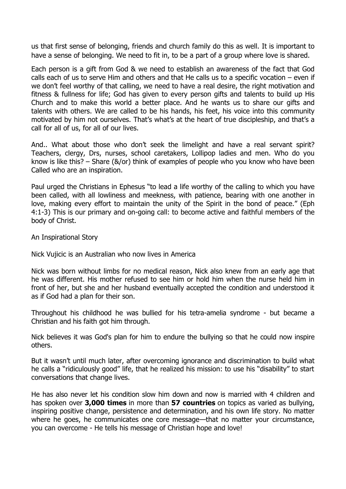us that first sense of belonging, friends and church family do this as well. It is important to have a sense of belonging. We need to fit in, to be a part of a group where love is shared.

Each person is a gift from God & we need to establish an awareness of the fact that God calls each of us to serve Him and others and that He calls us to a specific vocation – even if we don't feel worthy of that calling, we need to have a real desire, the right motivation and fitness & fullness for life; God has given to every person gifts and talents to build up His Church and to make this world a better place. And he wants us to share our gifts and talents with others. We are called to be his hands, his feet, his voice into this community motivated by him not ourselves. That's what's at the heart of true discipleship, and that's a call for all of us, for all of our lives.

And.. What about those who don't seek the limelight and have a real servant spirit? Teachers, clergy, Drs, nurses, school caretakers, Lollipop ladies and men. Who do you know is like this? – Share  $\left(\frac{R}{or}\right)$  think of examples of people who you know who have been Called who are an inspiration.

Paul urged the Christians in Ephesus "to lead a life worthy of the calling to which you have been called, with all lowliness and meekness, with patience, bearing with one another in love, making every effort to maintain the unity of the Spirit in the bond of peace." (Eph 4:1-3) This is our primary and on-going call: to become active and faithful members of the body of Christ.

An Inspirational Story

Nick Vujicic is an Australian who now lives in America

Nick was born without limbs for no medical reason, Nick also knew from an early age that he was different. His mother refused to see him or hold him when the nurse held him in front of her, but she and her husband eventually accepted the condition and understood it as if God had a plan for their son.

Throughout his childhood he was bullied for his tetra-amelia syndrome - but became a Christian and his faith got him through.

Nick believes it was God's plan for him to endure the bullying so that he could now inspire others.

But it wasn't until much later, after overcoming ignorance and discrimination to build what he calls a "ridiculously good" life, that he realized his mission: to use his "disability" to start conversations that change lives.

He has also never let his condition slow him down and now is married with 4 children and has spoken over **3,000 times** in more than **57 countries** on topics as varied as bullying, inspiring positive change, persistence and determination, and his own life story. No matter where he goes, he communicates one core message—that no matter your circumstance, you can overcome - He tells his message of Christian hope and love!